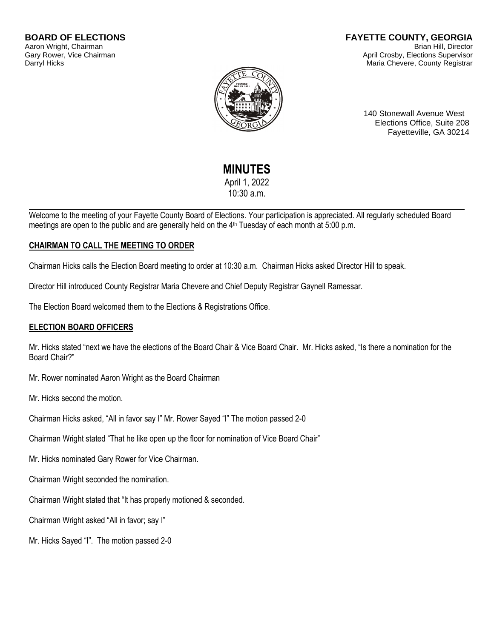#### **BOARD OF ELECTIONS** Aaron Wright, Chairman Gary Rower, Vice Chairman Darryl Hicks

#### **FAYETTE COUNTY, GEORGIA** Brian Hill, Director April Crosby, Elections Supervisor Maria Chevere, County Registrar



140 Stonewall Avenue West Elections Office, Suite 208 Fayetteville, GA 30214

# **MINUTES**

April 1, 2022 10:30 a.m.

Welcome to the meeting of your Fayette County Board of Elections. Your participation is appreciated. All regularly scheduled Board meetings are open to the public and are generally held on the 4<sup>th</sup> Tuesday of each month at 5:00 p.m.

# **CHAIRMAN TO CALL THE MEETING TO ORDER**

Chairman Hicks calls the Election Board meeting to order at 10:30 a.m. Chairman Hicks asked Director Hill to speak.

Director Hill introduced County Registrar Maria Chevere and Chief Deputy Registrar Gaynell Ramessar.

The Election Board welcomed them to the Elections & Registrations Office.

# **ELECTION BOARD OFFICERS**

Mr. Hicks stated "next we have the elections of the Board Chair & Vice Board Chair. Mr. Hicks asked, "Is there a nomination for the Board Chair?"

Mr. Rower nominated Aaron Wright as the Board Chairman

Mr. Hicks second the motion.

Chairman Hicks asked, "All in favor say I" Mr. Rower Sayed "I" The motion passed 2-0

Chairman Wright stated "That he like open up the floor for nomination of Vice Board Chair"

Mr. Hicks nominated Gary Rower for Vice Chairman.

Chairman Wright seconded the nomination.

Chairman Wright stated that "It has properly motioned & seconded.

Chairman Wright asked "All in favor; say I"

Mr. Hicks Sayed "I". The motion passed 2-0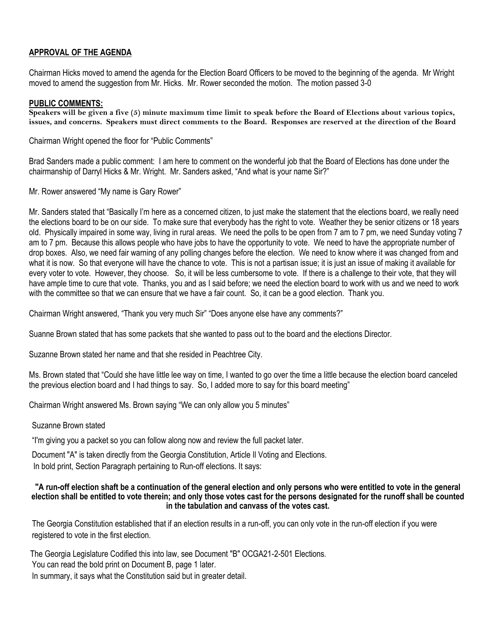## **APPROVAL OF THE AGENDA**

Chairman Hicks moved to amend the agenda for the Election Board Officers to be moved to the beginning of the agenda. Mr Wright moved to amend the suggestion from Mr. Hicks. Mr. Rower seconded the motion. The motion passed 3-0

#### **PUBLIC COMMENTS:**

**Speakers will be given a five (5) minute maximum time limit to speak before the Board of Elections about various topics, issues, and concerns. Speakers must direct comments to the Board. Responses are reserved at the direction of the Board**

Chairman Wright opened the floor for "Public Comments"

Brad Sanders made a public comment: I am here to comment on the wonderful job that the Board of Elections has done under the chairmanship of Darryl Hicks & Mr. Wright. Mr. Sanders asked, "And what is your name Sir?"

Mr. Rower answered "My name is Gary Rower"

Mr. Sanders stated that "Basically I'm here as a concerned citizen, to just make the statement that the elections board, we really need the elections board to be on our side. To make sure that everybody has the right to vote. Weather they be senior citizens or 18 years old. Physically impaired in some way, living in rural areas. We need the polls to be open from 7 am to 7 pm, we need Sunday voting 7 am to 7 pm. Because this allows people who have jobs to have the opportunity to vote. We need to have the appropriate number of drop boxes. Also, we need fair warning of any polling changes before the election. We need to know where it was changed from and what it is now. So that everyone will have the chance to vote. This is not a partisan issue; it is just an issue of making it available for every voter to vote. However, they choose. So, it will be less cumbersome to vote. If there is a challenge to their vote, that they will have ample time to cure that vote. Thanks, you and as I said before; we need the election board to work with us and we need to work with the committee so that we can ensure that we have a fair count. So, it can be a good election. Thank you.

Chairman Wright answered, "Thank you very much Sir" "Does anyone else have any comments?"

Suanne Brown stated that has some packets that she wanted to pass out to the board and the elections Director.

Suzanne Brown stated her name and that she resided in Peachtree City.

Ms. Brown stated that "Could she have little lee way on time, I wanted to go over the time a little because the election board canceled the previous election board and I had things to say. So, I added more to say for this board meeting"

Chairman Wright answered Ms. Brown saying "We can only allow you 5 minutes"

#### Suzanne Brown stated

"I'm giving you a packet so you can follow along now and review the full packet later.

Document "A" is taken directly from the Georgia Constitution, Article Il Voting and Elections. In bold print, Section Paragraph pertaining to Run-off elections. It says:

#### **"A run-off election shaft be a continuation of the general election and only persons who were entitled to vote in the general election shall be entitled to vote therein; and only those votes cast for the persons designated for the runoff shall be counted in the tabulation and canvass of the votes cast.**

The Georgia Constitution established that if an election results in a run-off, you can only vote in the run-off election if you were registered to vote in the first election.

The Georgia Legislature Codified this into law, see Document "B" OCGA21-2-501 Elections. You can read the bold print on Document B, page 1 later. In summary, it says what the Constitution said but in greater detail.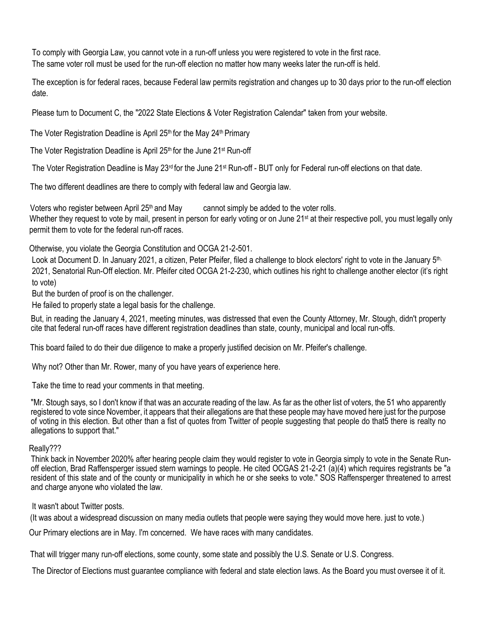To comply with Georgia Law, you cannot vote in a run-off unless you were registered to vote in the first race. The same voter roll must be used for the run-off election no matter how many weeks later the run-off is held.

The exception is for federal races, because Federal law permits registration and changes up to 30 days prior to the run-off election date.

Please turn to Document C, the "2022 State Elections & Voter Registration Calendar" taken from your website.

The Voter Registration Deadline is April  $25<sup>th</sup>$  for the May  $24<sup>th</sup>$  Primary

The Voter Registration Deadline is April 25<sup>th</sup> for the June 21<sup>st</sup> Run-off

The Voter Registration Deadline is May  $23^{rd}$  for the June  $21^{st}$  Run-off - BUT only for Federal run-off elections on that date.

The two different deadlines are there to comply with federal law and Georgia law.

Voters who register between April  $25<sup>th</sup>$  and May cannot simply be added to the voter rolls. Whether they request to vote by mail, present in person for early voting or on June 21<sup>st</sup> at their respective poll, you must legally only permit them to vote for the federal run-off races.

Otherwise, you violate the Georgia Constitution and OCGA 21-2-501.

Look at Document D. In January 2021, a citizen, Peter Pfeifer, filed a challenge to block electors' right to vote in the January 5<sup>th,</sup> 2021, Senatorial Run-Off election. Mr. Pfeifer cited OCGA 21-2-230, which outlines his right to challenge another elector (it's right to vote)

But the burden of proof is on the challenger.

He failed to properly state a legal basis for the challenge.

But, in reading the January 4, 2021, meeting minutes, was distressed that even the County Attorney, Mr. Stough, didn't property cite that federal run-off races have different registration deadlines than state, county, municipal and local run-offs.

This board failed to do their due diligence to make a properly justified decision on Mr. Pfeifer's challenge.

Why not? Other than Mr. Rower, many of you have years of experience here.

Take the time to read your comments in that meeting.

"Mr. Stough says, so I don't know if that was an accurate reading of the law. As far as the other list of voters, the 51 who apparently registered to vote since November, it appears that their allegations are that these people may have moved here just for the purpose of voting in this election. But other than a fist of quotes from Twitter of people suggesting that people do that5 there is realty no allegations to support that."

## Really???

Think back in November 2020% after hearing people claim they would register to vote in Georgia simply to vote in the Senate Runoff election, Brad Raffensperger issued stern warnings to people. He cited OCGAS 21-2-21 (a)(4) which requires registrants be "a resident of this state and of the county or municipality in which he or she seeks to vote." SOS Raffensperger threatened to arrest and charge anyone who violated the law.

It wasn't about Twitter posts.

(It was about a widespread discussion on many media outlets that people were saying they would move here. just to vote.)

Our Primary elections are in May. I'm concerned. We have races with many candidates.

That will trigger many run-off elections, some county, some state and possibly the U.S. Senate or U.S. Congress.

The Director of Elections must guarantee compliance with federal and state election laws. As the Board you must oversee it of it.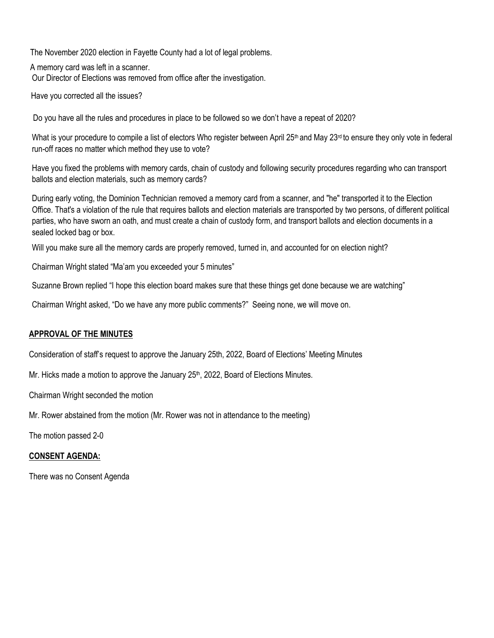The November 2020 election in Fayette County had a lot of legal problems.

A memory card was left in a scanner. Our Director of Elections was removed from office after the investigation.

Have you corrected all the issues?

Do you have all the rules and procedures in place to be followed so we don't have a repeat of 2020?

What is your procedure to compile a list of electors Who register between April 25<sup>th</sup> and May 23<sup>rd</sup> to ensure they only vote in federal run-off races no matter which method they use to vote?

Have you fixed the problems with memory cards, chain of custody and following security procedures regarding who can transport ballots and election materials, such as memory cards?

During early voting, the Dominion Technician removed a memory card from a scanner, and "he" transported it to the Election Office. That's a violation of the rule that requires ballots and election materials are transported by two persons, of different political parties, who have sworn an oath, and must create a chain of custody form, and transport ballots and election documents in a sealed locked bag or box.

Will you make sure all the memory cards are properly removed, turned in, and accounted for on election night?

Chairman Wright stated "Ma'am you exceeded your 5 minutes"

Suzanne Brown replied "I hope this election board makes sure that these things get done because we are watching"

Chairman Wright asked, "Do we have any more public comments?" Seeing none, we will move on.

## **APPROVAL OF THE MINUTES**

Consideration of staff's request to approve the January 25th, 2022, Board of Elections' Meeting Minutes

Mr. Hicks made a motion to approve the January  $25<sup>th</sup>$ , 2022, Board of Elections Minutes.

Chairman Wright seconded the motion

Mr. Rower abstained from the motion (Mr. Rower was not in attendance to the meeting)

The motion passed 2-0

## **CONSENT AGENDA:**

There was no Consent Agenda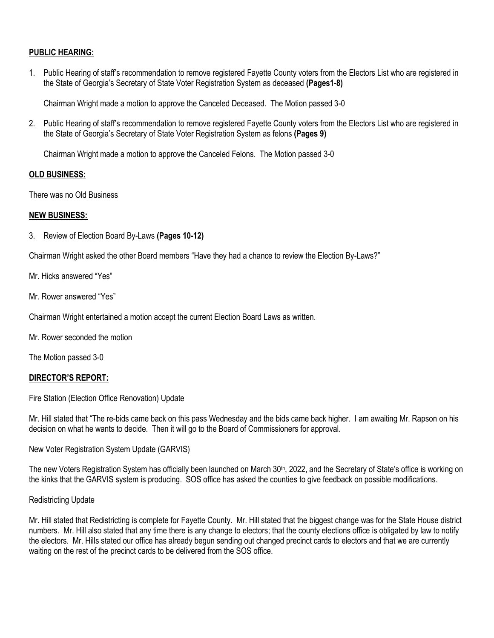## **PUBLIC HEARING:**

1. Public Hearing of staff's recommendation to remove registered Fayette County voters from the Electors List who are registered in the State of Georgia's Secretary of State Voter Registration System as deceased **(Pages1-8)**

Chairman Wright made a motion to approve the Canceled Deceased. The Motion passed 3-0

2. Public Hearing of staff's recommendation to remove registered Fayette County voters from the Electors List who are registered in the State of Georgia's Secretary of State Voter Registration System as felons **(Pages 9)**

Chairman Wright made a motion to approve the Canceled Felons. The Motion passed 3-0

#### **OLD BUSINESS:**

There was no Old Business

#### **NEW BUSINESS:**

3. Review of Election Board By-Laws **(Pages 10-12)**

Chairman Wright asked the other Board members "Have they had a chance to review the Election By-Laws?"

- Mr. Hicks answered "Yes"
- Mr. Rower answered "Yes"

Chairman Wright entertained a motion accept the current Election Board Laws as written.

Mr. Rower seconded the motion

The Motion passed 3-0

## **DIRECTOR'S REPORT:**

Fire Station (Election Office Renovation) Update

Mr. Hill stated that "The re-bids came back on this pass Wednesday and the bids came back higher. I am awaiting Mr. Rapson on his decision on what he wants to decide. Then it will go to the Board of Commissioners for approval.

New Voter Registration System Update (GARVIS)

The new Voters Registration System has officially been launched on March 30<sup>th</sup>, 2022, and the Secretary of State's office is working on the kinks that the GARVIS system is producing. SOS office has asked the counties to give feedback on possible modifications.

#### Redistricting Update

Mr. Hill stated that Redistricting is complete for Fayette County. Mr. Hill stated that the biggest change was for the State House district numbers. Mr. Hill also stated that any time there is any change to electors; that the county elections office is obligated by law to notify the electors. Mr. Hills stated our office has already begun sending out changed precinct cards to electors and that we are currently waiting on the rest of the precinct cards to be delivered from the SOS office.